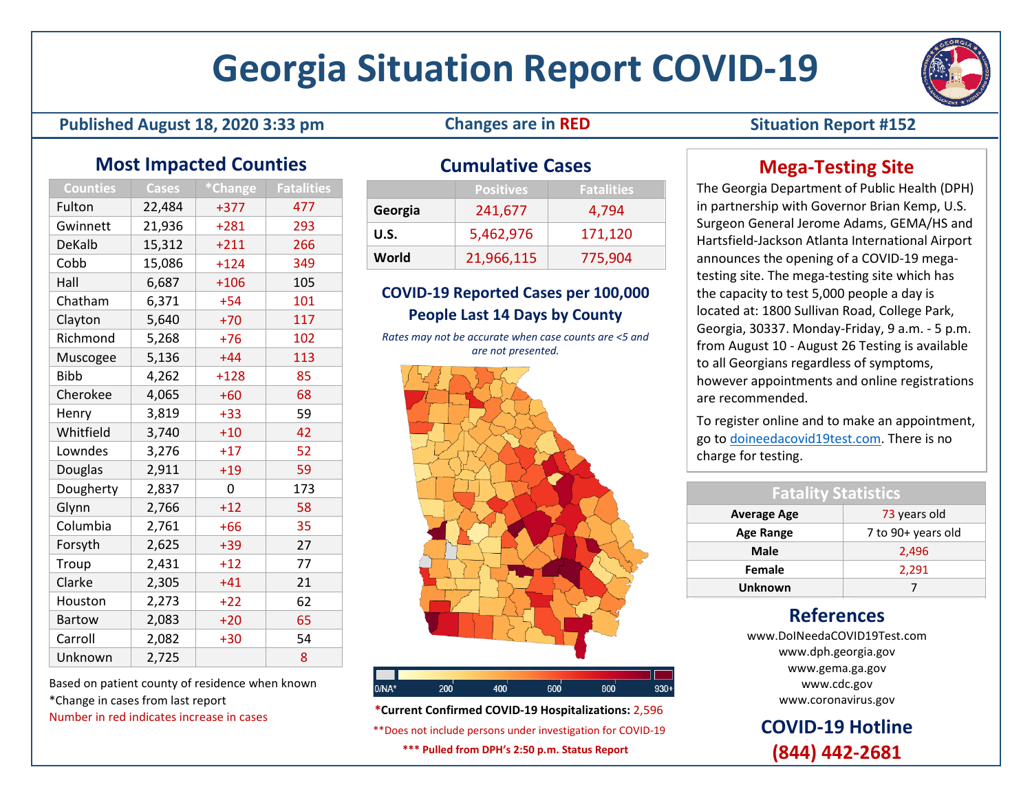# **Georgia Situation Report COVID-19**

#### **Published August 18, 2020 3:33 pm Changes are in RED Situation Report #152**

# **Most Impacted Counties**

| Counties      | <b>Cases</b> | *Change | <b>Fatalities</b> |  |  |
|---------------|--------------|---------|-------------------|--|--|
| Fulton        | 22,484       | $+377$  | 477               |  |  |
| Gwinnett      | 21,936       | $+281$  | 293               |  |  |
| DeKalb        | 15,312       | $+211$  | 266               |  |  |
| Cobb          | 15,086       | $+124$  | 349               |  |  |
| Hall          | 6,687        | $+106$  | 105               |  |  |
| Chatham       | 6,371        | $+54$   | 101               |  |  |
| Clayton       | 5,640        | $+70$   | 117               |  |  |
| Richmond      | 5,268        | $+76$   | 102               |  |  |
| Muscogee      | 5,136        | $+44$   | 113               |  |  |
| <b>Bibb</b>   | 4,262        | $+128$  | 85                |  |  |
| Cherokee      | 4,065        | $+60$   | 68                |  |  |
| Henry         | 3,819        | $+33$   | 59                |  |  |
| Whitfield     | 3,740        | $+10$   | 42                |  |  |
| Lowndes       | 3,276        | $+17$   | 52                |  |  |
| Douglas       | 2,911        | $+19$   | 59                |  |  |
| Dougherty     | 2,837        | 0       | 173               |  |  |
| Glynn         | 2,766        | $+12$   | 58                |  |  |
| Columbia      | 2,761        | $+66$   | 35                |  |  |
| Forsyth       | 2,625        | $+39$   | 27                |  |  |
| Troup         | 2,431        | $+12$   | 77                |  |  |
| Clarke        | 2,305        | $+41$   | 21                |  |  |
| Houston       | 2,273        | $+22$   | 62                |  |  |
| <b>Bartow</b> | 2,083        | $+20$   | 65                |  |  |
| Carroll       | 2,082        | $+30$   | 54                |  |  |
| Unknown       | 2,725        |         | 8                 |  |  |

Based on patient county of residence when known \*Change in cases from last report Number in red indicates increase in cases

# **Cumulative Cases**

|         | <b>Positives</b> | <b>Fatalities</b> |
|---------|------------------|-------------------|
| Georgia | 241,677          | 4.794             |
| U.S.    | 5,462,976        | 171,120           |
| World   | 21,966,115       | 775,904           |

### **COVID-19 Reported Cases per 100,000 People Last 14 Days by County**

*Rates may not be accurate when case counts are <5 and are not presented.*



**\*Current Confirmed COVID-19 Hospitalizations:** 2,596 \*\*Does not include persons under investigation for COVID-19 **\*\*\* Pulled from DPH's 2:50 p.m. Status Report**

# **Mega-Testing Site**

The Georgia Department of Public Health (DPH) in partnership with Governor Brian Kemp, U.S. Surgeon General Jerome Adams, GEMA/HS and Hartsfield-Jackson Atlanta International Airport announces the opening of a COVID-19 megatesting site. The mega-testing site which has the capacity to test 5,000 people a day is located at: 1800 Sullivan Road, College Park, Georgia, 30337. Monday-Friday, 9 a.m. - 5 p.m. from August 10 - August 26 Testing is available to all Georgians regardless of symptoms, however appointments and online registrations are recommended.

To register online and to make an appointment, go to [doineedacovid19test.com.](file://10.150.251.208/PAO$/Events%20&%20Activations/COVID-19/SitReps/doineedacovid19test.com) There is no charge for testing.

| <b>Fatality Statistics</b> |                    |  |  |  |  |
|----------------------------|--------------------|--|--|--|--|
| <b>Average Age</b>         | 73 years old       |  |  |  |  |
| <b>Age Range</b>           | 7 to 90+ years old |  |  |  |  |
| Male                       | 2,496              |  |  |  |  |
| Female                     | 2,291              |  |  |  |  |
| Unknown                    |                    |  |  |  |  |

# **References**

www.DoINeedaCOVID19Test.com www.dph.georgia.gov www.gema.ga.gov www.cdc.gov www.coronavirus.gov

**COVID-19 Hotline (844) 442-2681**